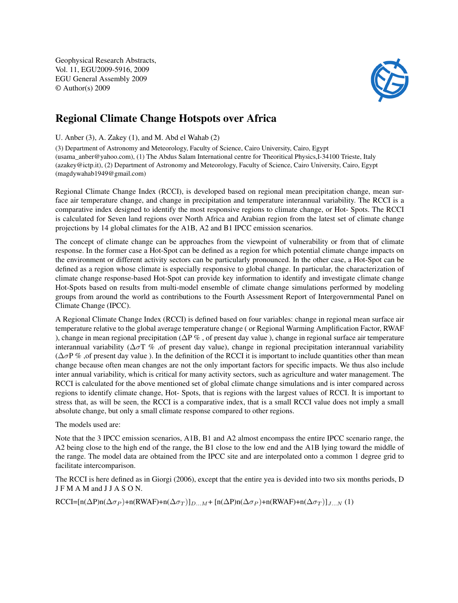Geophysical Research Abstracts, Vol. 11, EGU2009-5916, 2009 EGU General Assembly 2009 © Author(s) 2009



## Regional Climate Change Hotspots over Africa

U. Anber (3), A. Zakey (1), and M. Abd el Wahab (2)

(3) Department of Astronomy and Meteorology, Faculty of Science, Cairo University, Cairo, Egypt (usama\_anber@yahoo.com), (1) The Abdus Salam International centre for Theoritical Physics,I-34100 Trieste, Italy (azakey@ictp.it), (2) Department of Astronomy and Meteorology, Faculty of Science, Cairo University, Cairo, Egypt (magdywahab1949@gmail.com)

Regional Climate Change Index (RCCI), is developed based on regional mean precipitation change, mean surface air temperature change, and change in precipitation and temperature interannual variability. The RCCI is a comparative index designed to identify the most responsive regions to climate change, or Hot- Spots. The RCCI is calculated for Seven land regions over North Africa and Arabian region from the latest set of climate change projections by 14 global climates for the A1B, A2 and B1 IPCC emission scenarios.

The concept of climate change can be approaches from the viewpoint of vulnerability or from that of climate response. In the former case a Hot-Spot can be defined as a region for which potential climate change impacts on the environment or different activity sectors can be particularly pronounced. In the other case, a Hot-Spot can be defined as a region whose climate is especially responsive to global change. In particular, the characterization of climate change response-based Hot-Spot can provide key information to identify and investigate climate change Hot-Spots based on results from multi-model ensemble of climate change simulations performed by modeling groups from around the world as contributions to the Fourth Assessment Report of Intergovernmental Panel on Climate Change (IPCC).

A Regional Climate Change Index (RCCI) is defined based on four variables: change in regional mean surface air temperature relative to the global average temperature change ( or Regional Warming Amplification Factor, RWAF ), change in mean regional precipitation ( $\Delta P$ %, of present day value), change in regional surface air temperature interannual variability ( $\Delta \sigma T$  %, of present day value), change in regional precipitation interannual variability  $(\Delta \sigma P \%$ , of present day value ). In the definition of the RCCI it is important to include quantities other than mean change because often mean changes are not the only important factors for specific impacts. We thus also include inter annual variability, which is critical for many activity sectors, such as agriculture and water management. The RCCI is calculated for the above mentioned set of global climate change simulations and is inter compared across regions to identify climate change, Hot- Spots, that is regions with the largest values of RCCI. It is important to stress that, as will be seen, the RCCI is a comparative index, that is a small RCCI value does not imply a small absolute change, but only a small climate response compared to other regions.

The models used are:

Note that the 3 IPCC emission scenarios, A1B, B1 and A2 almost encompass the entire IPCC scenario range, the A2 being close to the high end of the range, the B1 close to the low end and the A1B lying toward the middle of the range. The model data are obtained from the IPCC site and are interpolated onto a common 1 degree grid to facilitate intercomparison.

The RCCI is here defined as in Giorgi (2006), except that the entire yea is devided into two six months periods, D J F M A M and J J A S O N.

 $RCCI=[n(\Delta P)n(\Delta \sigma_P)+n(RWAF)+n(\Delta \sigma_T)]_{D...M}+[n(\Delta P)n(\Delta \sigma_P)+n(RWAF)+n(\Delta \sigma_T)]_{J...N}$  (1)